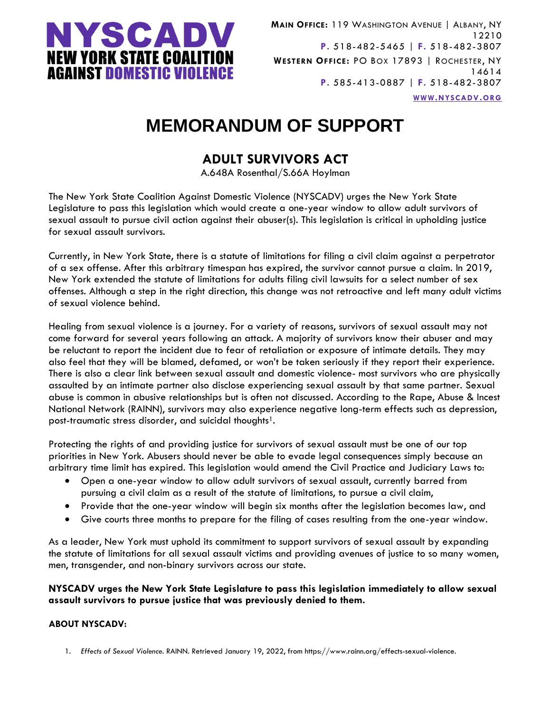

**MAIN OFFICE:** 119 WASHINGTON AVENUE | ALBANY, NY 12210 **P.** 518-482-5465 | **F.** 518-482-3807 **WESTERN OFFICE:** PO BOX 17893 | ROCHESTER, NY 14614 **P.** 585-413-0887 | **F.** 518-482-3807 **WWW.[NYSCADV](file://///server/data/Official%20Documents/NYSCADV%20Logo%20&%20Branding/2015%20Letterhead/www.nyscadv.org).ORG**

# **MEMORANDUM OF SUPPORT**

### **ADULT SURVIVORS ACT**

A.648A Rosenthal/S.66A Hoylman

The New York State Coalition Against Domestic Violence (NYSCADV) urges the New York State Legislature to pass this legislation which would create a one-year window to allow adult survivors of sexual assault to pursue civil action against their abuser(s). This legislation is critical in upholding justice for sexual assault survivors.

Currently, in New York State, there is a statute of limitations for filing a civil claim against a perpetrator of a sex offense. After this arbitrary timespan has expired, the survivor cannot pursue a claim. In 2019, New York extended the statute of limitations for adults filing civil lawsuits for a select number of sex offenses. Although a step in the right direction, this change was not retroactive and left many adult victims of sexual violence behind.

Healing from sexual violence is a journey. For a variety of reasons, survivors of sexual assault may not come forward for several years following an attack. A majority of survivors know their abuser and may be reluctant to report the incident due to fear of retaliation or exposure of intimate details. They may also feel that they will be blamed, defamed, or won't be taken seriously if they report their experience. There is also a clear link between sexual assault and domestic violence- most survivors who are physically assaulted by an intimate partner also disclose experiencing sexual assault by that same partner. Sexual abuse is common in abusive relationships but is often not discussed. According to the Rape, Abuse & Incest National Network (RAINN), survivors may also experience negative long-term effects such as depression, post-traumatic stress disorder, and suicidal thoughts<sup>1</sup>.

Protecting the rights of and providing justice for survivors of sexual assault must be one of our top priorities in New York. Abusers should never be able to evade legal consequences simply because an arbitrary time limit has expired. This legislation would amend the Civil Practice and Judiciary Laws to:

- Open a one-year window to allow adult survivors of sexual assault, currently barred from pursuing a civil claim as a result of the statute of limitations, to pursue a civil claim,
- Provide that the one-year window will begin six months after the legislation becomes law, and
- Give courts three months to prepare for the filing of cases resulting from the one-year window.

As a leader, New York must uphold its commitment to support survivors of sexual assault by expanding the statute of limitations for all sexual assault victims and providing avenues of justice to so many women, men, transgender, and non-binary survivors across our state.

#### **NYSCADV urges the New York State Legislature to pass this legislation immediately to allow sexual assault survivors to pursue justice that was previously denied to them.**

#### **ABOUT NYSCADV:**

1. *Effects of Sexual Violence*. RAINN. Retrieved January 19, 2022, from https://www.rainn.org/effects-sexual-violence.